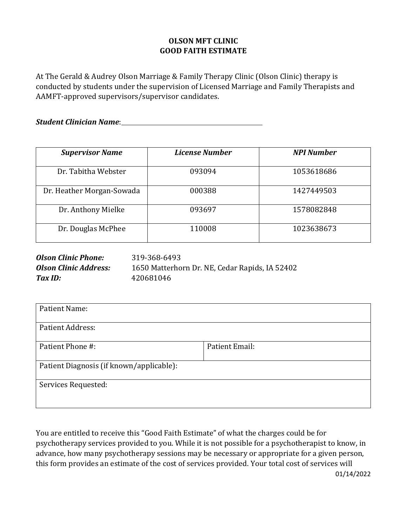## **OLSON MFT CLINIC GOOD FAITH ESTIMATE**

At The Gerald & Audrey Olson Marriage & Family Therapy Clinic (Olson Clinic) therapy is conducted by students under the supervision of Licensed Marriage and Family Therapists and AAMFT-approved supervisors/supervisor candidates.

*Student Clinician Name*:

| <b>Supervisor Name</b>    | License Number | <b>NPI Number</b> |
|---------------------------|----------------|-------------------|
| Dr. Tabitha Webster       | 093094         | 1053618686        |
| Dr. Heather Morgan-Sowada | 000388         | 1427449503        |
| Dr. Anthony Mielke        | 093697         | 1578082848        |
| Dr. Douglas McPhee        | 110008         | 1023638673        |

| <b>Olson Clinic Phone:</b>   | 319-368-6493                                   |
|------------------------------|------------------------------------------------|
| <b>Olson Clinic Address:</b> | 1650 Matterhorn Dr. NE, Cedar Rapids, IA 52402 |
| Tax ID:                      | 420681046                                      |

| Patient Email: |
|----------------|
|                |
|                |
|                |

You are entitled to receive this "Good Faith Estimate" of what the charges could be for psychotherapy services provided to you. While it is not possible for a psychotherapist to know, in advance, how many psychotherapy sessions may be necessary or appropriate for a given person, this form provides an estimate of the cost of services provided. Your total cost of services will